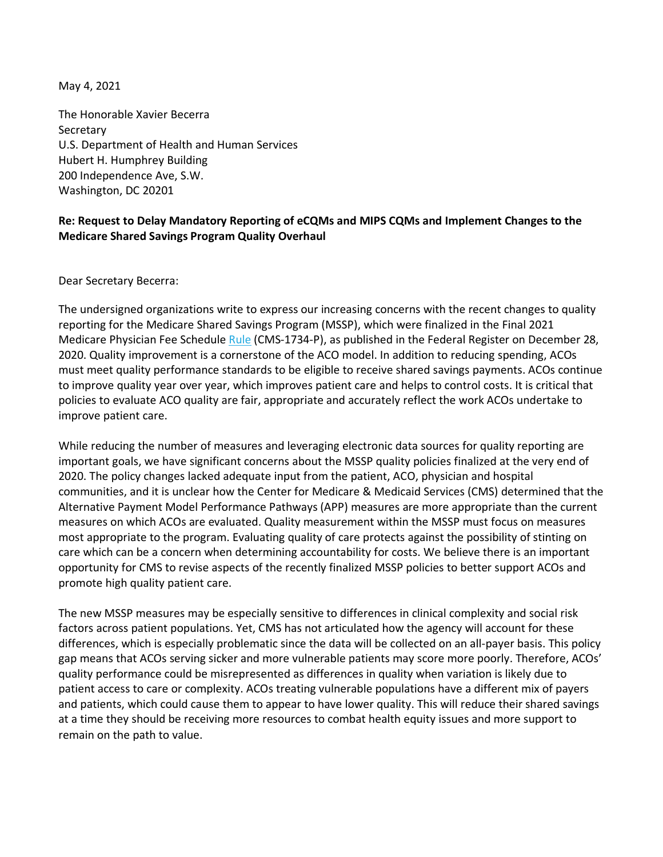May 4, 2021

The Honorable Xavier Becerra Secretary U.S. Department of Health and Human Services Hubert H. Humphrey Building 200 Independence Ave, S.W. Washington, DC 20201

#### **Re: Request to Delay Mandatory Reporting of eCQMs and MIPS CQMs and Implement Changes to the Medicare Shared Savings Program Quality Overhaul**

Dear Secretary Becerra:

The undersigned organizations write to express our increasing concerns with the recent changes to quality reporting for the Medicare Shared Savings Program (MSSP), which were finalized in the Final 2021 Medicare Physician Fee Schedule [Rule](https://www.govinfo.gov/content/pkg/FR-2020-12-28/pdf/2020-26815.pdf?utm_campaign=subscription+mailing+list&utm_source=federalregister.gov&utm_medium=email) (CMS-1734-P), as published in the Federal Register on December 28, 2020. Quality improvement is a cornerstone of the ACO model. In addition to reducing spending, ACOs must meet quality performance standards to be eligible to receive shared savings payments. ACOs continue to improve quality year over year, which improves patient care and helps to control costs. It is critical that policies to evaluate ACO quality are fair, appropriate and accurately reflect the work ACOs undertake to improve patient care.

While reducing the number of measures and leveraging electronic data sources for quality reporting are important goals, we have significant concerns about the MSSP quality policies finalized at the very end of 2020. The policy changes lacked adequate input from the patient, ACO, physician and hospital communities, and it is unclear how the Center for Medicare & Medicaid Services (CMS) determined that the Alternative Payment Model Performance Pathways (APP) measures are more appropriate than the current measures on which ACOs are evaluated. Quality measurement within the MSSP must focus on measures most appropriate to the program. Evaluating quality of care protects against the possibility of stinting on care which can be a concern when determining accountability for costs. We believe there is an important opportunity for CMS to revise aspects of the recently finalized MSSP policies to better support ACOs and promote high quality patient care.

The new MSSP measures may be especially sensitive to differences in clinical complexity and social risk factors across patient populations. Yet, CMS has not articulated how the agency will account for these differences, which is especially problematic since the data will be collected on an all-payer basis. This policy gap means that ACOs serving sicker and more vulnerable patients may score more poorly. Therefore, ACOs' quality performance could be misrepresented as differences in quality when variation is likely due to patient access to care or complexity. ACOs treating vulnerable populations have a different mix of payers and patients, which could cause them to appear to have lower quality. This will reduce their shared savings at a time they should be receiving more resources to combat health equity issues and more support to remain on the path to value.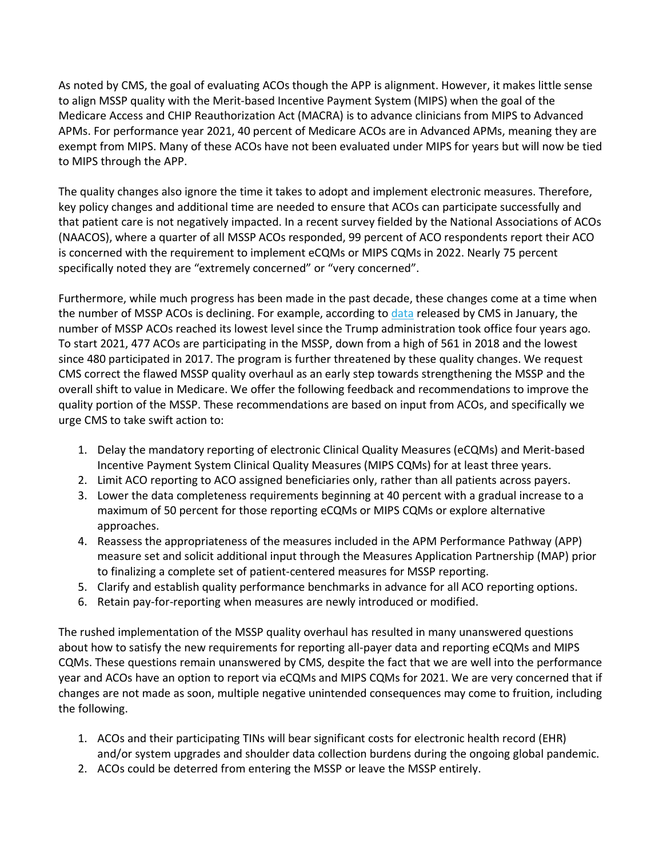As noted by CMS, the goal of evaluating ACOs though the APP is alignment. However, it makes little sense to align MSSP quality with the Merit-based Incentive Payment System (MIPS) when the goal of the Medicare Access and CHIP Reauthorization Act (MACRA) is to advance clinicians from MIPS to Advanced APMs. For performance year 2021, 40 percent of Medicare ACOs are in Advanced APMs, meaning they are exempt from MIPS. Many of these ACOs have not been evaluated under MIPS for years but will now be tied to MIPS through the APP.

The quality changes also ignore the time it takes to adopt and implement electronic measures. Therefore, key policy changes and additional time are needed to ensure that ACOs can participate successfully and that patient care is not negatively impacted. In a recent survey fielded by the National Associations of ACOs (NAACOS), where a quarter of all MSSP ACOs responded, 99 percent of ACO respondents report their ACO is concerned with the requirement to implement eCQMs or MIPS CQMs in 2022. Nearly 75 percent specifically noted they are "extremely concerned" or "very concerned".

Furthermore, while much progress has been made in the past decade, these changes come at a time when the number of MSSP ACOs is declining. For example, according to [data](https://www.cms.gov/files/document/2021-shared-savings-program-fast-facts.pdf) released by CMS in January, the number of MSSP ACOs reached its lowest level since the Trump administration took office four years ago. To start 2021, 477 ACOs are participating in the MSSP, down from a high of 561 in 2018 and the lowest since 480 participated in 2017. The program is further threatened by these quality changes. We request CMS correct the flawed MSSP quality overhaul as an early step towards strengthening the MSSP and the overall shift to value in Medicare. We offer the following feedback and recommendations to improve the quality portion of the MSSP. These recommendations are based on input from ACOs, and specifically we urge CMS to take swift action to:

- 1. Delay the mandatory reporting of electronic Clinical Quality Measures (eCQMs) and Merit-based Incentive Payment System Clinical Quality Measures (MIPS CQMs) for at least three years.
- 2. Limit ACO reporting to ACO assigned beneficiaries only, rather than all patients across payers.
- 3. Lower the data completeness requirements beginning at 40 percent with a gradual increase to a maximum of 50 percent for those reporting eCQMs or MIPS CQMs or explore alternative approaches.
- 4. Reassess the appropriateness of the measures included in the APM Performance Pathway (APP) measure set and solicit additional input through the Measures Application Partnership (MAP) prior to finalizing a complete set of patient-centered measures for MSSP reporting.
- 5. Clarify and establish quality performance benchmarks in advance for all ACO reporting options.
- 6. Retain pay-for-reporting when measures are newly introduced or modified.

The rushed implementation of the MSSP quality overhaul has resulted in many unanswered questions about how to satisfy the new requirements for reporting all-payer data and reporting eCQMs and MIPS CQMs. These questions remain unanswered by CMS, despite the fact that we are well into the performance year and ACOs have an option to report via eCQMs and MIPS CQMs for 2021. We are very concerned that if changes are not made as soon, multiple negative unintended consequences may come to fruition, including the following.

- 1. ACOs and their participating TINs will bear significant costs for electronic health record (EHR) and/or system upgrades and shoulder data collection burdens during the ongoing global pandemic.
- 2. ACOs could be deterred from entering the MSSP or leave the MSSP entirely.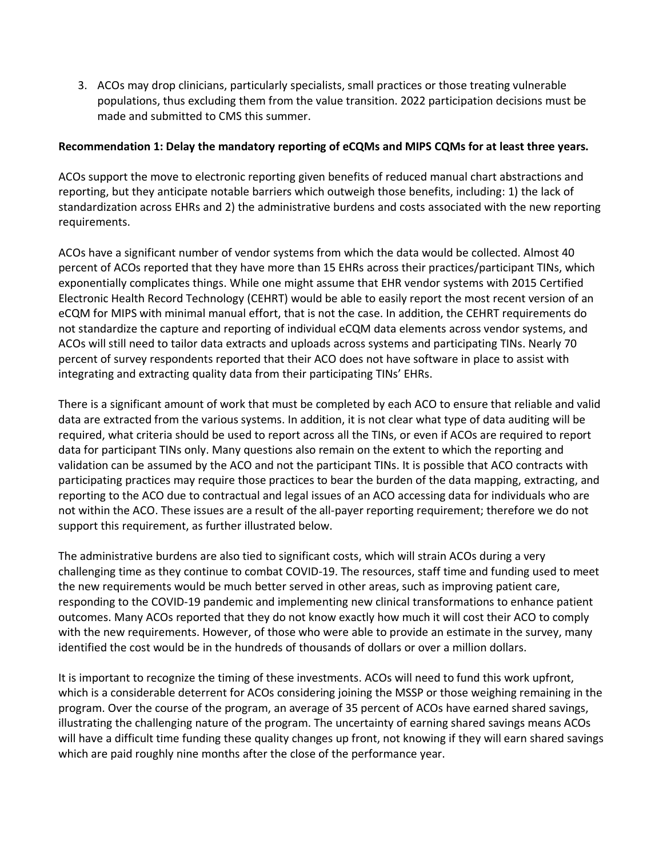3. ACOs may drop clinicians, particularly specialists, small practices or those treating vulnerable populations, thus excluding them from the value transition. 2022 participation decisions must be made and submitted to CMS this summer.

#### **Recommendation 1: Delay the mandatory reporting of eCQMs and MIPS CQMs for at least three years.**

ACOs support the move to electronic reporting given benefits of reduced manual chart abstractions and reporting, but they anticipate notable barriers which outweigh those benefits, including: 1) the lack of standardization across EHRs and 2) the administrative burdens and costs associated with the new reporting requirements.

ACOs have a significant number of vendor systems from which the data would be collected. Almost 40 percent of ACOs reported that they have more than 15 EHRs across their practices/participant TINs, which exponentially complicates things. While one might assume that EHR vendor systems with 2015 Certified Electronic Health Record Technology (CEHRT) would be able to easily report the most recent version of an eCQM for MIPS with minimal manual effort, that is not the case. In addition, the CEHRT requirements do not standardize the capture and reporting of individual eCQM data elements across vendor systems, and ACOs will still need to tailor data extracts and uploads across systems and participating TINs. Nearly 70 percent of survey respondents reported that their ACO does not have software in place to assist with integrating and extracting quality data from their participating TINs' EHRs.

There is a significant amount of work that must be completed by each ACO to ensure that reliable and valid data are extracted from the various systems. In addition, it is not clear what type of data auditing will be required, what criteria should be used to report across all the TINs, or even if ACOs are required to report data for participant TINs only. Many questions also remain on the extent to which the reporting and validation can be assumed by the ACO and not the participant TINs. It is possible that ACO contracts with participating practices may require those practices to bear the burden of the data mapping, extracting, and reporting to the ACO due to contractual and legal issues of an ACO accessing data for individuals who are not within the ACO. These issues are a result of the all-payer reporting requirement; therefore we do not support this requirement, as further illustrated below.

The administrative burdens are also tied to significant costs, which will strain ACOs during a very challenging time as they continue to combat COVID-19. The resources, staff time and funding used to meet the new requirements would be much better served in other areas, such as improving patient care, responding to the COVID-19 pandemic and implementing new clinical transformations to enhance patient outcomes. Many ACOs reported that they do not know exactly how much it will cost their ACO to comply with the new requirements. However, of those who were able to provide an estimate in the survey, many identified the cost would be in the hundreds of thousands of dollars or over a million dollars.

It is important to recognize the timing of these investments. ACOs will need to fund this work upfront, which is a considerable deterrent for ACOs considering joining the MSSP or those weighing remaining in the program. Over the course of the program, an average of 35 percent of ACOs have earned shared savings, illustrating the challenging nature of the program. The uncertainty of earning shared savings means ACOs will have a difficult time funding these quality changes up front, not knowing if they will earn shared savings which are paid roughly nine months after the close of the performance year.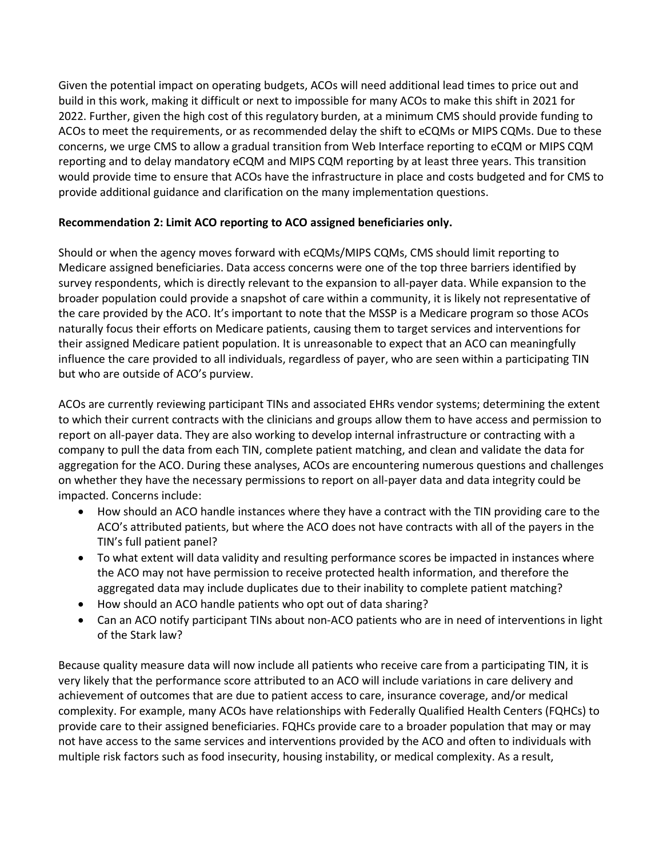Given the potential impact on operating budgets, ACOs will need additional lead times to price out and build in this work, making it difficult or next to impossible for many ACOs to make this shift in 2021 for 2022. Further, given the high cost of this regulatory burden, at a minimum CMS should provide funding to ACOs to meet the requirements, or as recommended delay the shift to eCQMs or MIPS CQMs. Due to these concerns, we urge CMS to allow a gradual transition from Web Interface reporting to eCQM or MIPS CQM reporting and to delay mandatory eCQM and MIPS CQM reporting by at least three years. This transition would provide time to ensure that ACOs have the infrastructure in place and costs budgeted and for CMS to provide additional guidance and clarification on the many implementation questions.

# **Recommendation 2: Limit ACO reporting to ACO assigned beneficiaries only.**

Should or when the agency moves forward with eCQMs/MIPS CQMs, CMS should limit reporting to Medicare assigned beneficiaries. Data access concerns were one of the top three barriers identified by survey respondents, which is directly relevant to the expansion to all-payer data. While expansion to the broader population could provide a snapshot of care within a community, it is likely not representative of the care provided by the ACO. It's important to note that the MSSP is a Medicare program so those ACOs naturally focus their efforts on Medicare patients, causing them to target services and interventions for their assigned Medicare patient population. It is unreasonable to expect that an ACO can meaningfully influence the care provided to all individuals, regardless of payer, who are seen within a participating TIN but who are outside of ACO's purview.

ACOs are currently reviewing participant TINs and associated EHRs vendor systems; determining the extent to which their current contracts with the clinicians and groups allow them to have access and permission to report on all-payer data. They are also working to develop internal infrastructure or contracting with a company to pull the data from each TIN, complete patient matching, and clean and validate the data for aggregation for the ACO. During these analyses, ACOs are encountering numerous questions and challenges on whether they have the necessary permissions to report on all-payer data and data integrity could be impacted. Concerns include:

- How should an ACO handle instances where they have a contract with the TIN providing care to the ACO's attributed patients, but where the ACO does not have contracts with all of the payers in the TIN's full patient panel?
- To what extent will data validity and resulting performance scores be impacted in instances where the ACO may not have permission to receive protected health information, and therefore the aggregated data may include duplicates due to their inability to complete patient matching?
- How should an ACO handle patients who opt out of data sharing?
- Can an ACO notify participant TINs about non-ACO patients who are in need of interventions in light of the Stark law?

Because quality measure data will now include all patients who receive care from a participating TIN, it is very likely that the performance score attributed to an ACO will include variations in care delivery and achievement of outcomes that are due to patient access to care, insurance coverage, and/or medical complexity. For example, many ACOs have relationships with Federally Qualified Health Centers (FQHCs) to provide care to their assigned beneficiaries. FQHCs provide care to a broader population that may or may not have access to the same services and interventions provided by the ACO and often to individuals with multiple risk factors such as food insecurity, housing instability, or medical complexity. As a result,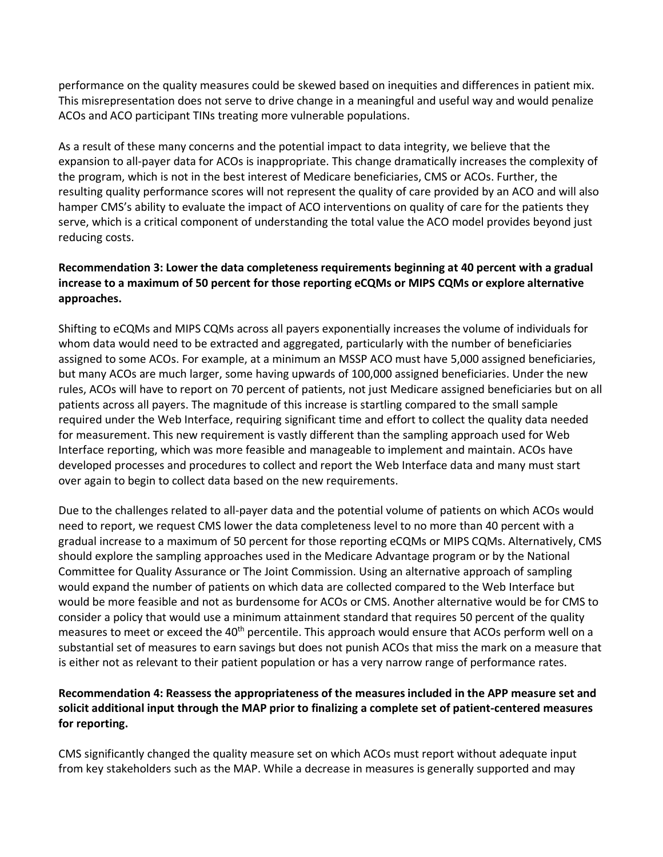performance on the quality measures could be skewed based on inequities and differences in patient mix. This misrepresentation does not serve to drive change in a meaningful and useful way and would penalize ACOs and ACO participant TINs treating more vulnerable populations.

As a result of these many concerns and the potential impact to data integrity, we believe that the expansion to all-payer data for ACOs is inappropriate. This change dramatically increases the complexity of the program, which is not in the best interest of Medicare beneficiaries, CMS or ACOs. Further, the resulting quality performance scores will not represent the quality of care provided by an ACO and will also hamper CMS's ability to evaluate the impact of ACO interventions on quality of care for the patients they serve, which is a critical component of understanding the total value the ACO model provides beyond just reducing costs.

# **Recommendation 3: Lower the data completeness requirements beginning at 40 percent with a gradual increase to a maximum of 50 percent for those reporting eCQMs or MIPS CQMs or explore alternative approaches.**

Shifting to eCQMs and MIPS CQMs across all payers exponentially increases the volume of individuals for whom data would need to be extracted and aggregated, particularly with the number of beneficiaries assigned to some ACOs. For example, at a minimum an MSSP ACO must have 5,000 assigned beneficiaries, but many ACOs are much larger, some having upwards of 100,000 assigned beneficiaries. Under the new rules, ACOs will have to report on 70 percent of patients, not just Medicare assigned beneficiaries but on all patients across all payers. The magnitude of this increase is startling compared to the small sample required under the Web Interface, requiring significant time and effort to collect the quality data needed for measurement. This new requirement is vastly different than the sampling approach used for Web Interface reporting, which was more feasible and manageable to implement and maintain. ACOs have developed processes and procedures to collect and report the Web Interface data and many must start over again to begin to collect data based on the new requirements.

Due to the challenges related to all-payer data and the potential volume of patients on which ACOs would need to report, we request CMS lower the data completeness level to no more than 40 percent with a gradual increase to a maximum of 50 percent for those reporting eCQMs or MIPS CQMs. Alternatively, CMS should explore the sampling approaches used in the Medicare Advantage program or by the National Committee for Quality Assurance or The Joint Commission. Using an alternative approach of sampling would expand the number of patients on which data are collected compared to the Web Interface but would be more feasible and not as burdensome for ACOs or CMS. Another alternative would be for CMS to consider a policy that would use a minimum attainment standard that requires 50 percent of the quality measures to meet or exceed the 40<sup>th</sup> percentile. This approach would ensure that ACOs perform well on a substantial set of measures to earn savings but does not punish ACOs that miss the mark on a measure that is either not as relevant to their patient population or has a very narrow range of performance rates.

# **Recommendation 4: Reassess the appropriateness of the measures included in the APP measure set and solicit additional input through the MAP prior to finalizing a complete set of patient-centered measures for reporting.**

CMS significantly changed the quality measure set on which ACOs must report without adequate input from key stakeholders such as the MAP. While a decrease in measures is generally supported and may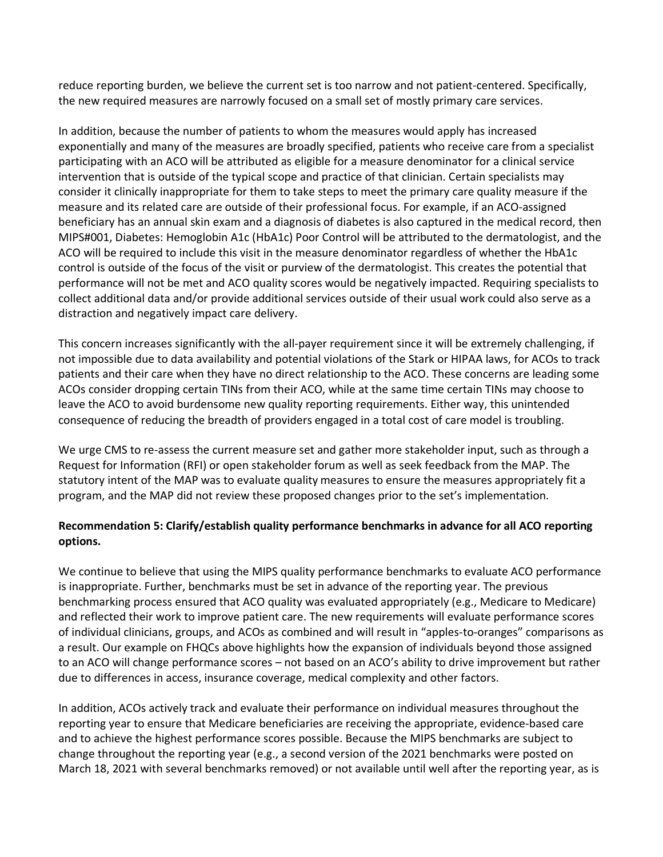reduce reporting burden, we believe the current set is too narrow and not patient-centered. Specifically, the new required measures are narrowly focused on a small set of mostly primary care services.

In addition, because the number of patients to whom the measures would apply has increased exponentially and many of the measures are broadly specified, patients who receive care from a specialist participating with an ACO will be attributed as eligible for a measure denominator for a clinical service intervention that is outside of the typical scope and practice of that clinician. Certain specialists may consider it clinically inappropriate for them to take steps to meet the primary care quality measure if the measure and its related care are outside of their professional focus. For example, if an ACO-assigned beneficiary has an annual skin exam and a diagnosis of diabetes is also captured in the medical record, then MIPS#001, Diabetes: Hemoglobin A1c (HbA1c) Poor Control will be attributed to the dermatologist, and the ACO will be required to include this visit in the measure denominator regardless of whether the HbA1c control is outside of the focus of the visit or purview of the dermatologist. This creates the potential that performance will not be met and ACO quality scores would be negatively impacted. Requiring specialists to collect additional data and/or provide additional services outside of their usual work could also serve as a distraction and negatively impact care delivery.

This concern increases significantly with the all-payer requirement since it will be extremely challenging, if not impossible due to data availability and potential violations of the Stark or HIPAA laws, for ACOs to track patients and their care when they have no direct relationship to the ACO. These concerns are leading some ACOs consider dropping certain TINs from their ACO, while at the same time certain TINs may choose to leave the ACO to avoid burdensome new quality reporting requirements. Either way, this unintended consequence of reducing the breadth of providers engaged in a total cost of care model is troubling.

We urge CMS to re-assess the current measure set and gather more stakeholder input, such as through a Request for Information (RFI) or open stakeholder forum as well as seek feedback from the MAP. The statutory intent of the MAP was to evaluate quality measures to ensure the measures appropriately fit a program, and the MAP did not review these proposed changes prior to the set's implementation.

# **Recommendation 5: Clarify/establish quality performance benchmarks in advance for all ACO reporting options.**

We continue to believe that using the MIPS quality performance benchmarks to evaluate ACO performance is inappropriate. Further, benchmarks must be set in advance of the reporting year. The previous benchmarking process ensured that ACO quality was evaluated appropriately (e.g., Medicare to Medicare) and reflected their work to improve patient care. The new requirements will evaluate performance scores of individual clinicians, groups, and ACOs as combined and will result in "apples-to-oranges" comparisons as a result. Our example on FHQCs above highlights how the expansion of individuals beyond those assigned to an ACO will change performance scores – not based on an ACO's ability to drive improvement but rather due to differences in access, insurance coverage, medical complexity and other factors.

In addition, ACOs actively track and evaluate their performance on individual measures throughout the reporting year to ensure that Medicare beneficiaries are receiving the appropriate, evidence-based care and to achieve the highest performance scores possible. Because the MIPS benchmarks are subject to change throughout the reporting year (e.g., a second version of the 2021 benchmarks were posted on March 18, 2021 with several benchmarks removed) or not available until well after the reporting year, as is